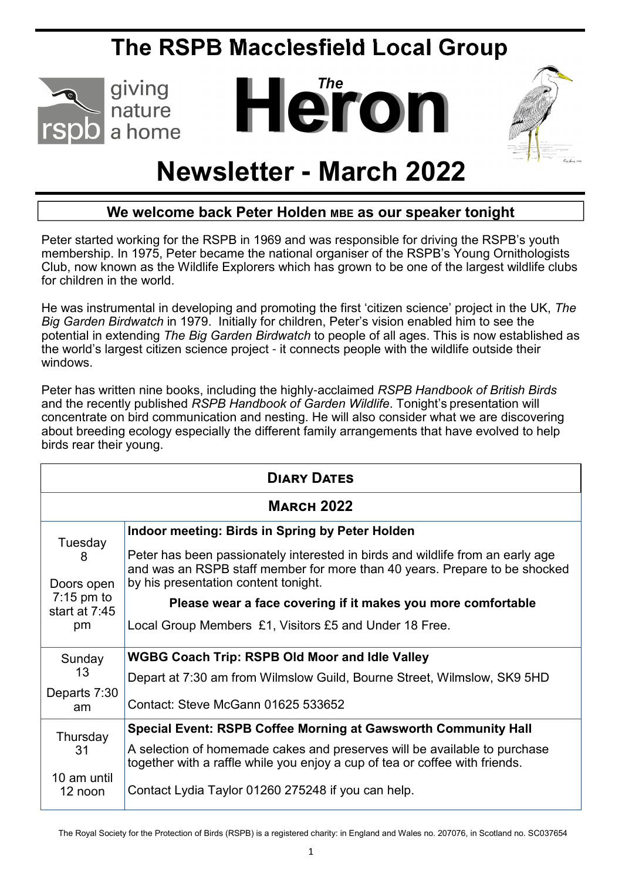## **The RSPB Macclesfield Local Group**



# **ATO**



## **Newsletter - March 2022**

#### **We welcome back Peter Holden MBE as our speaker tonight**

Peter started working for the RSPB in 1969 and was responsible for driving the RSPB's youth membership. In 1975, Peter became the national organiser of the RSPB's Young Ornithologists Club, now known as the Wildlife Explorers which has grown to be one of the largest wildlife clubs for children in the world.

He was instrumental in developing and promoting the first 'citizen science' project in the UK, *The Big Garden Birdwatch* in 1979. Initially for children, Peter's vision enabled him to see the potential in extending *The Big Garden Birdwatch* to people of all ages. This is now established as the world's largest citizen science project - it connects people with the wildlife outside their windows.

Peter has written nine books, including the highly-acclaimed *RSPB Handbook of British Birds*  and the recently published *RSPB Handbook of Garden Wildlife*. Tonight's presentation will concentrate on bird communication and nesting. He will also consider what we are discovering about breeding ecology especially the different family arrangements that have evolved to help birds rear their young.

| <b>DIARY DATES</b>                                                  |                                                                                                                                                                                                      |  |
|---------------------------------------------------------------------|------------------------------------------------------------------------------------------------------------------------------------------------------------------------------------------------------|--|
| <b>MARCH 2022</b>                                                   |                                                                                                                                                                                                      |  |
| Tuesday<br>8<br>Doors open<br>$7:15$ pm to<br>start at $7:45$<br>pm | Indoor meeting: Birds in Spring by Peter Holden                                                                                                                                                      |  |
|                                                                     | Peter has been passionately interested in birds and wildlife from an early age<br>and was an RSPB staff member for more than 40 years. Prepare to be shocked<br>by his presentation content tonight. |  |
|                                                                     | Please wear a face covering if it makes you more comfortable                                                                                                                                         |  |
|                                                                     | Local Group Members £1, Visitors £5 and Under 18 Free.                                                                                                                                               |  |
| Sunday<br>13<br>Departs 7:30<br>am                                  | <b>WGBG Coach Trip: RSPB Old Moor and Idle Valley</b>                                                                                                                                                |  |
|                                                                     | Depart at 7:30 am from Wilmslow Guild, Bourne Street, Wilmslow, SK9 5HD                                                                                                                              |  |
|                                                                     | Contact: Steve McGann 01625 533652                                                                                                                                                                   |  |
| Thursday<br>31<br>10 am until<br>12 noon                            | Special Event: RSPB Coffee Morning at Gawsworth Community Hall                                                                                                                                       |  |
|                                                                     | A selection of homemade cakes and preserves will be available to purchase<br>together with a raffle while you enjoy a cup of tea or coffee with friends.                                             |  |
|                                                                     | Contact Lydia Taylor 01260 275248 if you can help.                                                                                                                                                   |  |

The Royal Society for the Protection of Birds (RSPB) is a registered charity: in England and Wales no. 207076, in Scotland no. SC037654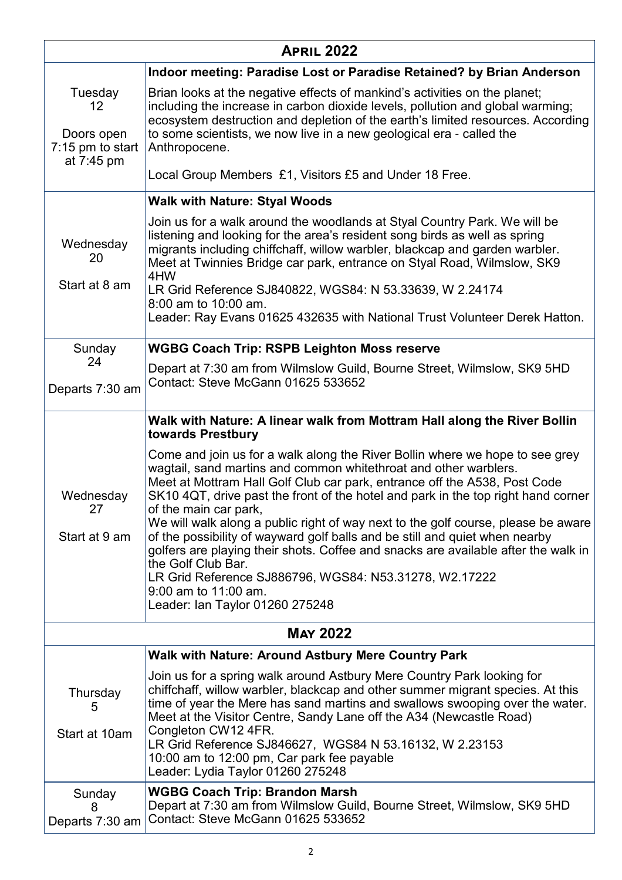| <b>APRIL 2022</b>                                               |                                                                                                                                                                                                                                                                                                                                                                                                                                                                                                                                                                                                                                                                                                               |  |
|-----------------------------------------------------------------|---------------------------------------------------------------------------------------------------------------------------------------------------------------------------------------------------------------------------------------------------------------------------------------------------------------------------------------------------------------------------------------------------------------------------------------------------------------------------------------------------------------------------------------------------------------------------------------------------------------------------------------------------------------------------------------------------------------|--|
|                                                                 | Indoor meeting: Paradise Lost or Paradise Retained? by Brian Anderson                                                                                                                                                                                                                                                                                                                                                                                                                                                                                                                                                                                                                                         |  |
| Tuesday<br>12<br>Doors open<br>$7:15$ pm to start<br>at 7:45 pm | Brian looks at the negative effects of mankind's activities on the planet;<br>including the increase in carbon dioxide levels, pollution and global warming;<br>ecosystem destruction and depletion of the earth's limited resources. According<br>to some scientists, we now live in a new geological era - called the<br>Anthropocene.<br>Local Group Members £1, Visitors £5 and Under 18 Free.                                                                                                                                                                                                                                                                                                            |  |
|                                                                 | <b>Walk with Nature: Styal Woods</b>                                                                                                                                                                                                                                                                                                                                                                                                                                                                                                                                                                                                                                                                          |  |
| Wednesday<br>20<br>Start at 8 am                                | Join us for a walk around the woodlands at Styal Country Park. We will be<br>listening and looking for the area's resident song birds as well as spring<br>migrants including chiffchaff, willow warbler, blackcap and garden warbler.<br>Meet at Twinnies Bridge car park, entrance on Styal Road, Wilmslow, SK9<br>4HW<br>LR Grid Reference SJ840822, WGS84: N 53.33639, W 2.24174<br>8:00 am to 10:00 am.<br>Leader: Ray Evans 01625 432635 with National Trust Volunteer Derek Hatton.                                                                                                                                                                                                                    |  |
| Sunday                                                          | <b>WGBG Coach Trip: RSPB Leighton Moss reserve</b>                                                                                                                                                                                                                                                                                                                                                                                                                                                                                                                                                                                                                                                            |  |
| 24<br>Departs 7:30 am                                           | Depart at 7:30 am from Wilmslow Guild, Bourne Street, Wilmslow, SK9 5HD<br>Contact: Steve McGann 01625 533652                                                                                                                                                                                                                                                                                                                                                                                                                                                                                                                                                                                                 |  |
|                                                                 | Walk with Nature: A linear walk from Mottram Hall along the River Bollin<br>towards Prestbury                                                                                                                                                                                                                                                                                                                                                                                                                                                                                                                                                                                                                 |  |
| Wednesday<br>27<br>Start at 9 am                                | Come and join us for a walk along the River Bollin where we hope to see grey<br>wagtail, sand martins and common whitethroat and other warblers.<br>Meet at Mottram Hall Golf Club car park, entrance off the A538, Post Code<br>SK10 4QT, drive past the front of the hotel and park in the top right hand corner<br>of the main car park,<br>We will walk along a public right of way next to the golf course, please be aware<br>of the possibility of wayward golf balls and be still and quiet when nearby<br>golfers are playing their shots. Coffee and snacks are available after the walk in<br>the Golf Club Bar.<br>LR Grid Reference SJ886796, WGS84: N53.31278, W2.17222<br>9:00 am to 11:00 am. |  |
|                                                                 | Leader: Ian Taylor 01260 275248                                                                                                                                                                                                                                                                                                                                                                                                                                                                                                                                                                                                                                                                               |  |
| <b>MAY 2022</b>                                                 |                                                                                                                                                                                                                                                                                                                                                                                                                                                                                                                                                                                                                                                                                                               |  |
|                                                                 | <b>Walk with Nature: Around Astbury Mere Country Park</b>                                                                                                                                                                                                                                                                                                                                                                                                                                                                                                                                                                                                                                                     |  |
| Thursday<br>5<br>Start at 10am                                  | Join us for a spring walk around Astbury Mere Country Park looking for<br>chiffchaff, willow warbler, blackcap and other summer migrant species. At this<br>time of year the Mere has sand martins and swallows swooping over the water.<br>Meet at the Visitor Centre, Sandy Lane off the A34 (Newcastle Road)<br>Congleton CW12 4FR.<br>LR Grid Reference SJ846627, WGS84 N 53.16132, W 2.23153<br>10:00 am to 12:00 pm, Car park fee payable<br>Leader: Lydia Taylor 01260 275248                                                                                                                                                                                                                          |  |
| Sunday<br>8<br>Departs 7:30 am                                  | <b>WGBG Coach Trip: Brandon Marsh</b><br>Depart at 7:30 am from Wilmslow Guild, Bourne Street, Wilmslow, SK9 5HD<br>Contact: Steve McGann 01625 533652                                                                                                                                                                                                                                                                                                                                                                                                                                                                                                                                                        |  |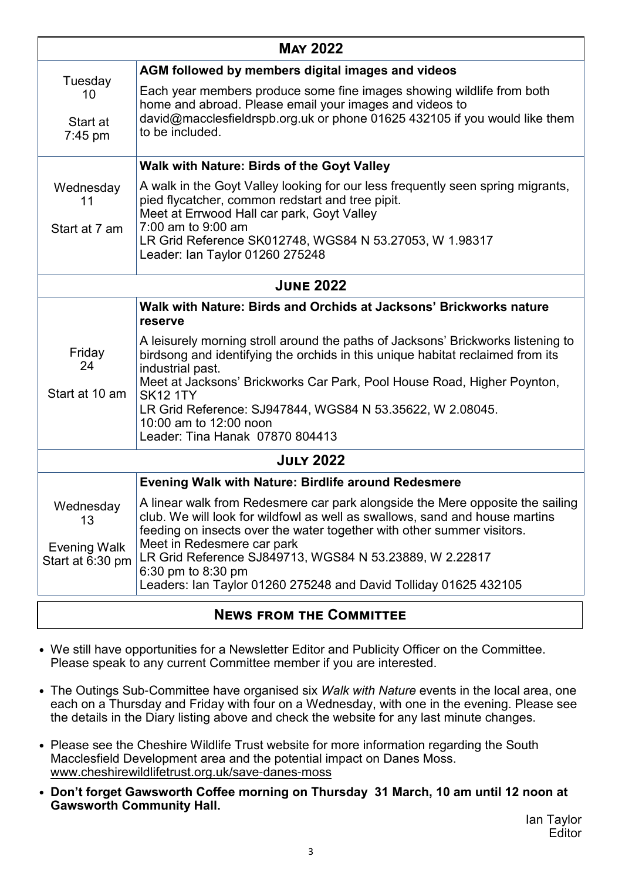| <b>MAY 2022</b>                  |                                                                                                                                                                                                                                                                   |  |
|----------------------------------|-------------------------------------------------------------------------------------------------------------------------------------------------------------------------------------------------------------------------------------------------------------------|--|
|                                  | AGM followed by members digital images and videos                                                                                                                                                                                                                 |  |
| Tuesday<br>10                    | Each year members produce some fine images showing wildlife from both<br>home and abroad. Please email your images and videos to                                                                                                                                  |  |
| Start at<br>$7:45$ pm            | david@macclesfieldrspb.org.uk or phone 01625 432105 if you would like them<br>to be included.                                                                                                                                                                     |  |
|                                  | <b>Walk with Nature: Birds of the Goyt Valley</b>                                                                                                                                                                                                                 |  |
| Wednesday<br>11                  | A walk in the Goyt Valley looking for our less frequently seen spring migrants,<br>pied flycatcher, common redstart and tree pipit.<br>Meet at Errwood Hall car park, Goyt Valley                                                                                 |  |
| Start at 7 am                    | 7:00 am to 9:00 am<br>LR Grid Reference SK012748, WGS84 N 53.27053, W 1.98317<br>Leader: Ian Taylor 01260 275248                                                                                                                                                  |  |
| <b>JUNE 2022</b>                 |                                                                                                                                                                                                                                                                   |  |
|                                  | Walk with Nature: Birds and Orchids at Jacksons' Brickworks nature<br>reserve                                                                                                                                                                                     |  |
| Friday<br>24                     | A leisurely morning stroll around the paths of Jacksons' Brickworks listening to<br>birdsong and identifying the orchids in this unique habitat reclaimed from its<br>industrial past.<br>Meet at Jacksons' Brickworks Car Park, Pool House Road, Higher Poynton, |  |
| Start at 10 am                   | <b>SK12 1TY</b><br>LR Grid Reference: SJ947844, WGS84 N 53.35622, W 2.08045.<br>10:00 am to 12:00 noon<br>Leader: Tina Hanak 07870 804413                                                                                                                         |  |
| <b>JULY 2022</b>                 |                                                                                                                                                                                                                                                                   |  |
|                                  | <b>Evening Walk with Nature: Birdlife around Redesmere</b>                                                                                                                                                                                                        |  |
| Wednesday<br>13                  | A linear walk from Redesmere car park alongside the Mere opposite the sailing<br>club. We will look for wildfowl as well as swallows, sand and house martins<br>feeding on insects over the water together with other summer visitors.                            |  |
| Evening Walk<br>Start at 6:30 pm | Meet in Redesmere car park<br>LR Grid Reference SJ849713, WGS84 N 53.23889, W 2.22817<br>6:30 pm to 8:30 pm                                                                                                                                                       |  |
|                                  | Leaders: Ian Taylor 01260 275248 and David Tolliday 01625 432105                                                                                                                                                                                                  |  |
| <b>NEWS FROM THE COMMITTEE</b>   |                                                                                                                                                                                                                                                                   |  |

- We still have opportunities for a Newsletter Editor and Publicity Officer on the Committee. Please speak to any current Committee member if you are interested.
- The Outings Sub-Committee have organised six *Walk with Nature* events in the local area, one each on a Thursday and Friday with four on a Wednesday, with one in the evening. Please see the details in the Diary listing above and check the website for any last minute changes.
- Please see the Cheshire Wildlife Trust website for more information regarding the South Macclesfield Development area and the potential impact on Danes Moss. www.cheshirewildlifetrust.org.uk/save-danes-moss
- **Don't forget Gawsworth Coffee morning on Thursday 31 March, 10 am until 12 noon at Gawsworth Community Hall.**